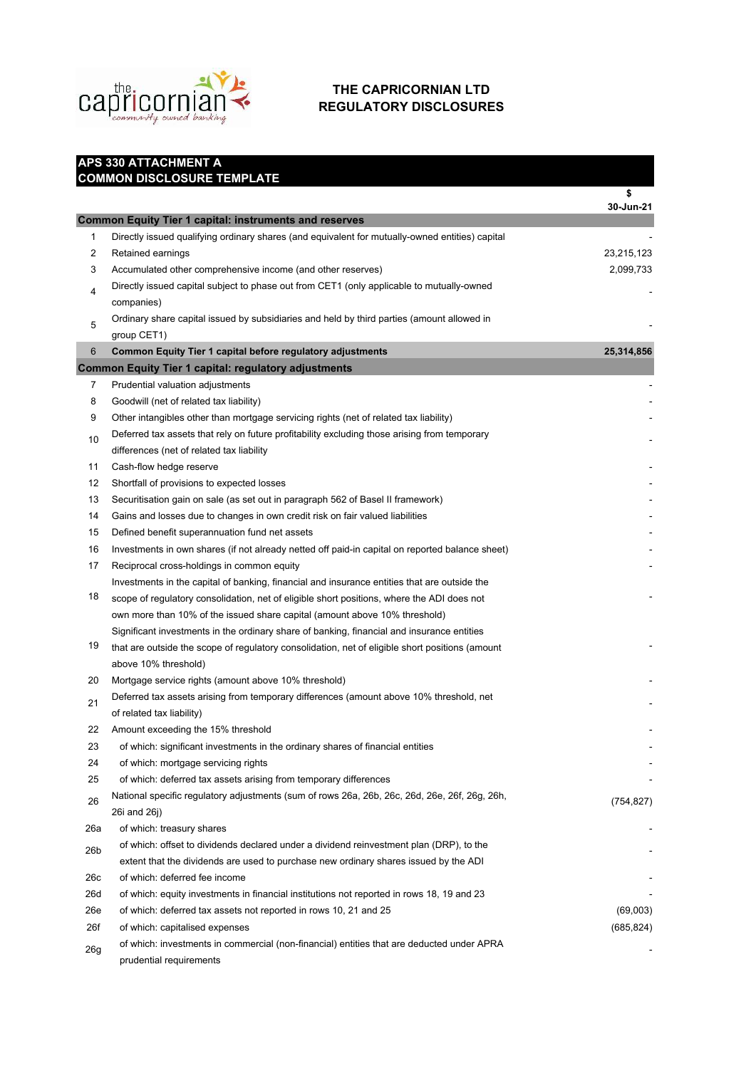

## **THE CAPRICORNIAN LTD REGULATORY DISCLOSURES**

|     | APS 330 ATTACHMENT A                                                                            |                 |  |
|-----|-------------------------------------------------------------------------------------------------|-----------------|--|
|     | <b>COMMON DISCLOSURE TEMPLATE</b>                                                               |                 |  |
|     |                                                                                                 | \$<br>30-Jun-21 |  |
|     | <b>Common Equity Tier 1 capital: instruments and reserves</b>                                   |                 |  |
| 1   | Directly issued qualifying ordinary shares (and equivalent for mutually-owned entities) capital |                 |  |
| 2   | Retained earnings                                                                               | 23,215,123      |  |
| 3   | Accumulated other comprehensive income (and other reserves)                                     | 2,099,733       |  |
|     | Directly issued capital subject to phase out from CET1 (only applicable to mutually-owned       |                 |  |
| 4   | companies)                                                                                      |                 |  |
|     | Ordinary share capital issued by subsidiaries and held by third parties (amount allowed in      |                 |  |
| 5   | group CET1)                                                                                     |                 |  |
| 6   | Common Equity Tier 1 capital before regulatory adjustments                                      | 25,314,856      |  |
|     | <b>Common Equity Tier 1 capital: regulatory adjustments</b>                                     |                 |  |
| 7   | Prudential valuation adjustments                                                                |                 |  |
| 8   | Goodwill (net of related tax liability)                                                         |                 |  |
| 9   | Other intangibles other than mortgage servicing rights (net of related tax liability)           |                 |  |
| 10  | Deferred tax assets that rely on future profitability excluding those arising from temporary    |                 |  |
|     | differences (net of related tax liability                                                       |                 |  |
| 11  | Cash-flow hedge reserve                                                                         |                 |  |
| 12  | Shortfall of provisions to expected losses                                                      |                 |  |
| 13  | Securitisation gain on sale (as set out in paragraph 562 of Basel II framework)                 |                 |  |
| 14  | Gains and losses due to changes in own credit risk on fair valued liabilities                   |                 |  |
| 15  | Defined benefit superannuation fund net assets                                                  |                 |  |
| 16  | Investments in own shares (if not already netted off paid-in capital on reported balance sheet) |                 |  |
| 17  | Reciprocal cross-holdings in common equity                                                      |                 |  |
|     | Investments in the capital of banking, financial and insurance entities that are outside the    |                 |  |
| 18  | scope of regulatory consolidation, net of eligible short positions, where the ADI does not      |                 |  |
|     | own more than 10% of the issued share capital (amount above 10% threshold)                      |                 |  |
|     | Significant investments in the ordinary share of banking, financial and insurance entities      |                 |  |
| 19  | that are outside the scope of regulatory consolidation, net of eligible short positions (amount |                 |  |
|     | above 10% threshold)                                                                            |                 |  |
| 20  | Mortgage service rights (amount above 10% threshold)                                            |                 |  |
| 21  | Deferred tax assets arising from temporary differences (amount above 10% threshold, net         |                 |  |
|     | of related tax liability)                                                                       |                 |  |
| 22  | Amount exceeding the 15% threshold                                                              |                 |  |
| 23  | of which: significant investments in the ordinary shares of financial entities                  |                 |  |
| 24  | of which: mortgage servicing rights                                                             |                 |  |
| 25  | of which: deferred tax assets arising from temporary differences                                |                 |  |
| 26  | National specific regulatory adjustments (sum of rows 26a, 26b, 26c, 26d, 26e, 26f, 26g, 26h,   | (754, 827)      |  |
|     | 26i and 26j)                                                                                    |                 |  |
| 26a | of which: treasury shares                                                                       |                 |  |
| 26b | of which: offset to dividends declared under a dividend reinvestment plan (DRP), to the         |                 |  |
|     | extent that the dividends are used to purchase new ordinary shares issued by the ADI            |                 |  |
| 26с | of which: deferred fee income                                                                   |                 |  |
| 26d | of which: equity investments in financial institutions not reported in rows 18, 19 and 23       |                 |  |
| 26e | of which: deferred tax assets not reported in rows 10, 21 and 25                                | (69,003)        |  |
| 26f | of which: capitalised expenses                                                                  | (685, 824)      |  |
| 26g | of which: investments in commercial (non-financial) entities that are deducted under APRA       |                 |  |
|     | prudential requirements                                                                         |                 |  |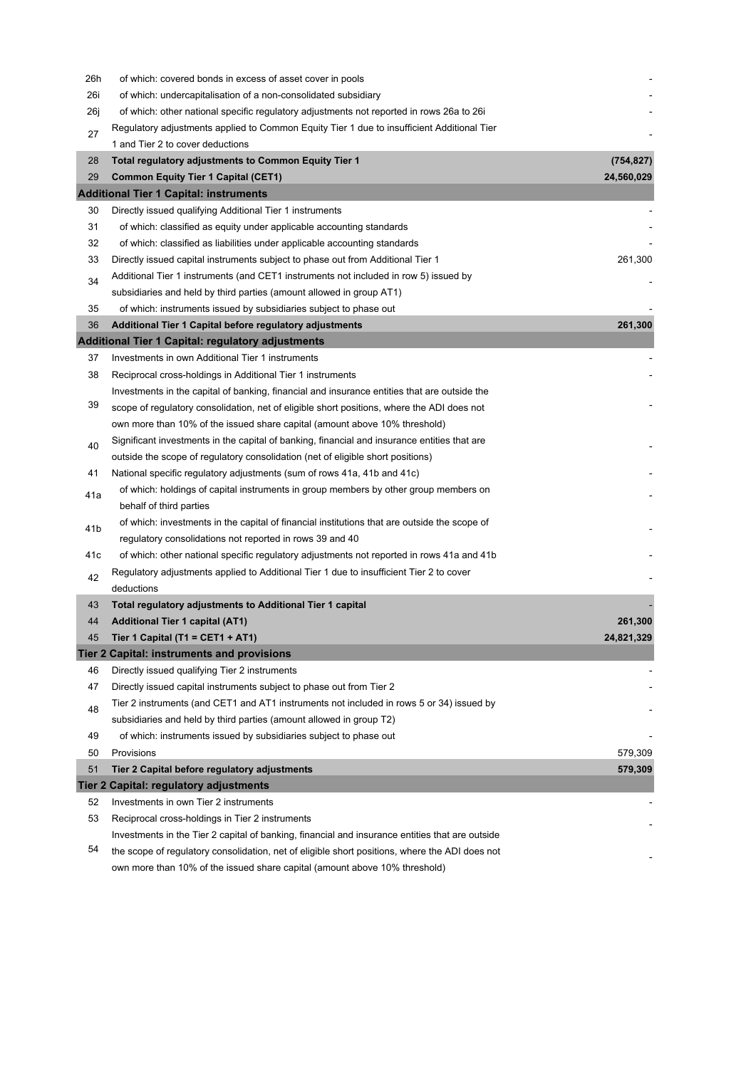| 26h | of which: covered bonds in excess of asset cover in pools                                                       |            |
|-----|-----------------------------------------------------------------------------------------------------------------|------------|
| 26i | of which: undercapitalisation of a non-consolidated subsidiary                                                  |            |
| 26j | of which: other national specific regulatory adjustments not reported in rows 26a to 26i                        |            |
| 27  | Regulatory adjustments applied to Common Equity Tier 1 due to insufficient Additional Tier                      |            |
|     | 1 and Tier 2 to cover deductions                                                                                |            |
| 28  | Total regulatory adjustments to Common Equity Tier 1                                                            | (754, 827) |
| 29  | <b>Common Equity Tier 1 Capital (CET1)</b>                                                                      | 24,560,029 |
|     | <b>Additional Tier 1 Capital: instruments</b>                                                                   |            |
| 30  | Directly issued qualifying Additional Tier 1 instruments                                                        |            |
| 31  | of which: classified as equity under applicable accounting standards                                            |            |
| 32  | of which: classified as liabilities under applicable accounting standards                                       |            |
| 33  | Directly issued capital instruments subject to phase out from Additional Tier 1                                 | 261,300    |
| 34  | Additional Tier 1 instruments (and CET1 instruments not included in row 5) issued by                            |            |
|     | subsidiaries and held by third parties (amount allowed in group AT1)                                            |            |
| 35  | of which: instruments issued by subsidiaries subject to phase out                                               |            |
| 36  | Additional Tier 1 Capital before regulatory adjustments                                                         | 261,300    |
|     | <b>Additional Tier 1 Capital: regulatory adjustments</b>                                                        |            |
| 37  | Investments in own Additional Tier 1 instruments                                                                |            |
| 38  | Reciprocal cross-holdings in Additional Tier 1 instruments                                                      |            |
|     | Investments in the capital of banking, financial and insurance entities that are outside the                    |            |
| 39  | scope of regulatory consolidation, net of eligible short positions, where the ADI does not                      |            |
|     | own more than 10% of the issued share capital (amount above 10% threshold)                                      |            |
| 40  | Significant investments in the capital of banking, financial and insurance entities that are                    |            |
|     | outside the scope of regulatory consolidation (net of eligible short positions)                                 |            |
| 41  | National specific regulatory adjustments (sum of rows 41a, 41b and 41c)                                         |            |
| 41a | of which: holdings of capital instruments in group members by other group members on<br>behalf of third parties |            |
| 41b | of which: investments in the capital of financial institutions that are outside the scope of                    |            |
|     | regulatory consolidations not reported in rows 39 and 40                                                        |            |
| 41c | of which: other national specific regulatory adjustments not reported in rows 41a and 41b                       |            |
| 42  | Regulatory adjustments applied to Additional Tier 1 due to insufficient Tier 2 to cover<br>deductions           |            |
| 43  | Total regulatory adjustments to Additional Tier 1 capital                                                       |            |
| 44  | Additional Tier 1 capital (AT1)                                                                                 | 261,300    |
| 45  | Tier 1 Capital (T1 = CET1 + AT1)                                                                                | 24,821,329 |
|     | Tier 2 Capital: instruments and provisions                                                                      |            |
| 46  | Directly issued qualifying Tier 2 instruments                                                                   |            |
| 47  | Directly issued capital instruments subject to phase out from Tier 2                                            |            |
| 48  | Tier 2 instruments (and CET1 and AT1 instruments not included in rows 5 or 34) issued by                        |            |
|     | subsidiaries and held by third parties (amount allowed in group T2)                                             |            |
| 49  | of which: instruments issued by subsidiaries subject to phase out                                               |            |
| 50  | Provisions                                                                                                      | 579,309    |
| 51  | Tier 2 Capital before regulatory adjustments                                                                    | 579,309    |
|     | Tier 2 Capital: regulatory adjustments                                                                          |            |
| 52  | Investments in own Tier 2 instruments                                                                           |            |
| 53  | Reciprocal cross-holdings in Tier 2 instruments                                                                 |            |
|     | Investments in the Tier 2 capital of banking, financial and insurance entities that are outside                 |            |
| 54  | the scope of regulatory consolidation, net of eligible short positions, where the ADI does not                  |            |
|     | own more than 10% of the issued share capital (amount above 10% threshold)                                      |            |